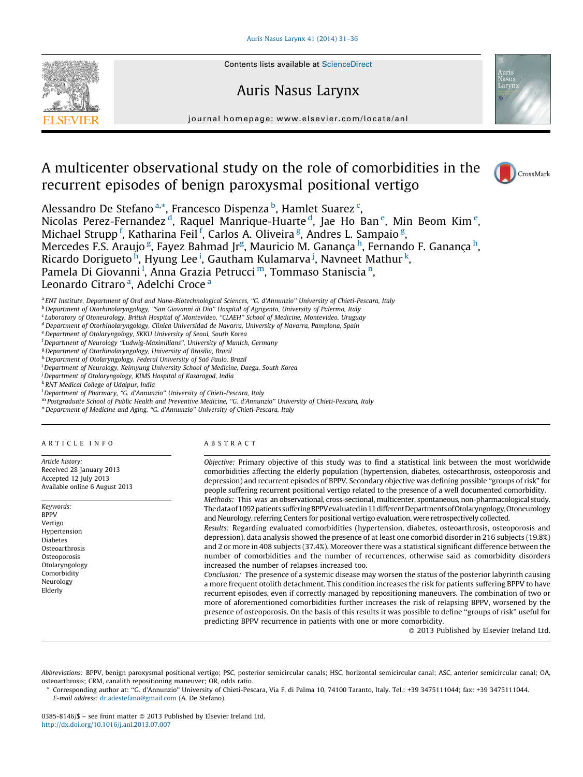

Contents lists available at [ScienceDirect](http://www.sciencedirect.com/science/journal/03858146)

## Auris Nasus Larynx



journal homepage: www.elsevier.com/locate/anl

# A multicenter observational study on the role of comorbidities in the recurrent episodes of benign paroxysmal positional vertigo



Alessandro De Stefano<sup>a,\*</sup>, Francesco Dispenza <sup>b</sup>, Hamlet Suarez <sup>c</sup>, Nicolas Perez-Fernandez <sup>d</sup>, Raquel Manrique-Huarte <sup>d</sup>, Jae Ho Ban <sup>e</sup>, Min Beom Kim <sup>e</sup>, Michael Strupp<sup>f</sup>, Katharina Feil<sup>f</sup>, Carlos A. Oliveira<sup>g</sup>, Andres L. Sampaio<sup>g</sup>, Mercedes F.S. Araujo <sup>g</sup>, Fayez Bahmad Jr<sup>g</sup>, Mauricio M. Ganança <sup>h</sup>, Fernando F. Ganança <sup>h</sup>, Ricardo Dorigueto <sup>h</sup>, Hyung Lee <sup>i</sup>, Gautham Kulamarva <sup>j</sup>, Navneet Mathur <sup>k</sup>, Pamela Di Giovanni<sup>1</sup>, Anna Grazia Petrucci<sup>m</sup>, Tommaso Staniscia<sup>n</sup>, Leonardo Citraro<sup>a</sup>, Adelchi Croce<sup>a</sup>

<sup>a</sup> ENT Institute, Department of Oral and Nano-Biotechnological Sciences, ''G. d'Annunzio'' University of Chieti-Pescara, Italy

<sup>b</sup> Department of Otorhinolaryngology, "San Giovanni di Dio" Hospital of Agrigento, University of Palermo, Italy

<sup>c</sup> Laboratory of Otoneurology, British Hospital of Montevideo, ''CLAEH'' School of Medicine, Montevideo, Uruguay

<sup>d</sup> Department of Otorhinolaryngology, Clinica Universidad de Navarra, University of Navarra, Pamplona, Spain

<sup>e</sup>Department of Otolaryngology, SKKU University of Seoul, South Korea

<sup>f</sup> Department of Neurology "Ludwig-Maximilians", University of Munich, Germany

<sup>g</sup>Department of Otorhinolaryngology, University of Brasilia, Brazil

h Department of Otolaryngology, Federal University of Sao Paulo, Brazil

<sup>i</sup> Department of Neurology, Keimyung University School of Medicine, Daegu, South Korea

<sup>i</sup> Department of Otolaryngology, KIMS Hospital of Kasaragod, India

<sup>k</sup> RNT Medical College of Udaipur, India

<sup>1</sup> Department of Pharmacy, "G. d'Annunzio" University of Chieti-Pescara, Italy

<sup>m</sup> Postgraduate School of Public Health and Preventive Medicine, ''G. d'Annunzio'' University of Chieti-Pescara, Italy

<sup>n</sup>Department of Medicine and Aging, ''G. d'Annunzio'' University of Chieti-Pescara, Italy

## A R T I C L E I N F O

Article history: Received 28 January 2013 Accepted 12 July 2013 Available online 6 August 2013

Keywords: BPPV Vertigo Hypertension Diabetes Osteoarthrosis Osteoporosis Otolaryngology Comorbidity Neurology Elderly

#### A B S T R A C T

Objective: Primary objective of this study was to find a statistical link between the most worldwide comorbidities affecting the elderly population (hypertension, diabetes, osteoarthrosis, osteoporosis and depression) and recurrent episodes of BPPV. Secondary objective was defining possible ''groups of risk'' for people suffering recurrent positional vertigo related to the presence of a well documented comorbidity. Methods: This was an observational, cross-sectional, multicenter, spontaneous, non-pharmacological study.

Thedataof1092patientssufferingBPPVevaluated in11differentDepartmentsofOtolaryngology,Otoneurology and Neurology, referring Centers for positional vertigo evaluation, were retrospectively collected. Results: Regarding evaluated comorbidities (hypertension, diabetes, osteoarthrosis, osteoporosis and

depression), data analysis showed the presence of at least one comorbid disorder in 216 subjects (19.8%) and 2 or more in 408 subjects (37.4%). Moreover there was a statistical significant difference between the number of comorbidities and the number of recurrences, otherwise said as comorbidity disorders increased the number of relapses increased too.

Conclusion: The presence of a systemic disease may worsen the status of the posterior labyrinth causing a more frequent otolith detachment. This condition increases the risk for patients suffering BPPV to have recurrent episodes, even if correctly managed by repositioning maneuvers. The combination of two or more of aforementioned comorbidities further increases the risk of relapsing BPPV, worsened by the presence of osteoporosis. On the basis of this results it was possible to define ''groups of risk'' useful for predicting BPPV recurrence in patients with one or more comorbidity.

- 2013 Published by Elsevier Ireland Ltd.

Abbreviations: BPPV, benign paroxysmal positional vertigo; PSC, posterior semicircular canals; HSC, horizontal semicircular canal; ASC, anterior semicircular canal; OA, osteoarthrosis; CRM, canalith repositioning maneuver; OR, odds ratio.

\* Corresponding author at: ''G. d'Annunzio'' University of Chieti-Pescara, Via F. di Palma 10, 74100 Taranto, Italy. Tel.: +39 3475111044; fax: +39 3475111044. E-mail address: [dr.adestefano@gmail.com](mailto:dr.adestefano@gmail.com) (A. De Stefano).

0385-8146/\$ – see front matter © 2013 Published by Elsevier Ireland Ltd. <http://dx.doi.org/10.1016/j.anl.2013.07.007>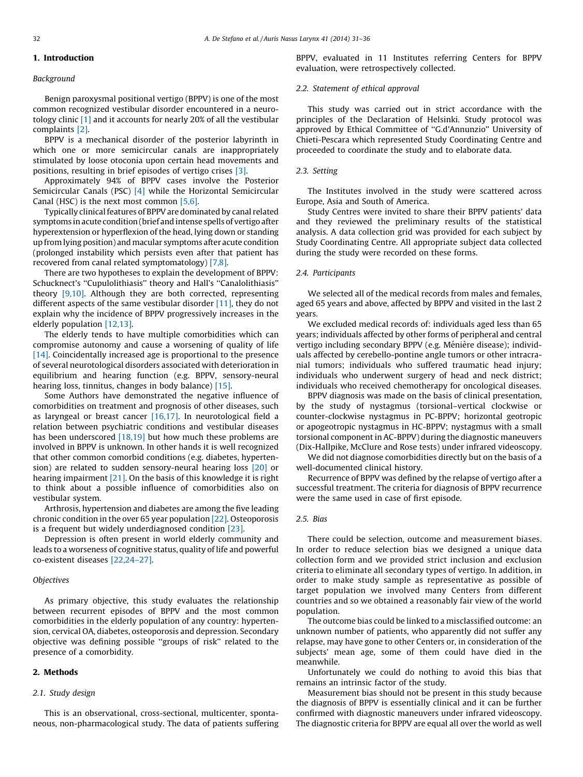## 1. Introduction

#### Background

Benign paroxysmal positional vertigo (BPPV) is one of the most common recognized vestibular disorder encountered in a neurotology clinic [\[1\]](#page-4-0) and it accounts for nearly 20% of all the vestibular complaints [\[2\].](#page-4-0)

BPPV is a mechanical disorder of the posterior labyrinth in which one or more semicircular canals are inappropriately stimulated by loose otoconia upon certain head movements and positions, resulting in brief episodes of vertigo crises [\[3\]](#page-4-0).

Approximately 94% of BPPV cases involve the Posterior Semicircular Canals (PSC) [\[4\]](#page-4-0) while the Horizontal Semicircular Canal (HSC) is the next most common [\[5,6\].](#page-4-0)

Typically clinical features of BPPV are dominated by canal related symptoms inacute condition (brief and intense spells of vertigo after hyperextension or hyperflexion of the head, lying down or standing up fromlying position) andmacular symptoms after acute condition (prolonged instability which persists even after that patient has recovered from canal related symptomatology) [\[7,8\].](#page-4-0)

There are two hypotheses to explain the development of BPPV: Schucknect's ''Cupulolithiasis'' theory and Hall's ''Canalolithiasis'' theory [\[9,10\].](#page-4-0) Although they are both corrected, representing different aspects of the same vestibular disorder [\[11\],](#page-4-0) they do not explain why the incidence of BPPV progressively increases in the elderly population [\[12,13\]](#page-4-0).

The elderly tends to have multiple comorbidities which can compromise autonomy and cause a worsening of quality of life [\[14\]](#page-4-0). Coincidentally increased age is proportional to the presence of several neurotological disorders associated with deterioration in equilibrium and hearing function (e.g. BPPV, sensory-neural hearing loss, tinnitus, changes in body balance) [\[15\].](#page-4-0)

Some Authors have demonstrated the negative influence of comorbidities on treatment and prognosis of other diseases, such as laryngeal or breast cancer [\[16,17\]](#page-4-0). In neurotological field a relation between psychiatric conditions and vestibular diseases has been underscored [\[18,19\]](#page-4-0) but how much these problems are involved in BPPV is unknown. In other hands it is well recognized that other common comorbid conditions (e.g. diabetes, hypertension) are related to sudden sensory-neural hearing loss [\[20\]](#page-4-0) or hearing impairment [\[21\].](#page-4-0) On the basis of this knowledge it is right to think about a possible influence of comorbidities also on vestibular system.

Arthrosis, hypertension and diabetes are among the five leading chronic condition in the over 65 year population [\[22\].](#page-4-0) Osteoporosis is a frequent but widely underdiagnosed condition [\[23\]](#page-4-0).

Depression is often present in world elderly community and leads to a worseness of cognitive status, quality of life and powerful co-existent diseases [\[22,24–27\].](#page-4-0)

## **Objectives**

As primary objective, this study evaluates the relationship between recurrent episodes of BPPV and the most common comorbidities in the elderly population of any country: hypertension, cervical OA, diabetes, osteoporosis and depression. Secondary objective was defining possible ''groups of risk'' related to the presence of a comorbidity.

## 2. Methods

#### 2.1. Study design

This is an observational, cross-sectional, multicenter, spontaneous, non-pharmacological study. The data of patients suffering BPPV, evaluated in 11 Institutes referring Centers for BPPV evaluation, were retrospectively collected.

## 2.2. Statement of ethical approval

This study was carried out in strict accordance with the principles of the Declaration of Helsinki. Study protocol was approved by Ethical Committee of ''G.d'Annunzio'' University of Chieti-Pescara which represented Study Coordinating Centre and proceeded to coordinate the study and to elaborate data.

#### 2.3. Setting

The Institutes involved in the study were scattered across Europe, Asia and South of America.

Study Centres were invited to share their BPPV patients' data and they reviewed the preliminary results of the statistical analysis. A data collection grid was provided for each subject by Study Coordinating Centre. All appropriate subject data collected during the study were recorded on these forms.

#### 2.4. Participants

We selected all of the medical records from males and females, aged 65 years and above, affected by BPPV and visited in the last 2 years.

We excluded medical records of: individuals aged less than 65 years; individuals affected by other forms of peripheral and central vertigo including secondary BPPV (e.g. Ménière disease); individuals affected by cerebello-pontine angle tumors or other intracranial tumors; individuals who suffered traumatic head injury; individuals who underwent surgery of head and neck district; individuals who received chemotherapy for oncological diseases.

BPPV diagnosis was made on the basis of clinical presentation, by the study of nystagmus (torsional–vertical clockwise or counter-clockwise nystagmus in PC-BPPV; horizontal geotropic or apogeotropic nystagmus in HC-BPPV; nystagmus with a small torsional componentin AC-BPPV) during the diagnostic maneuvers (Dix-Hallpike, McClure and Rose tests) under infrared videoscopy.

We did not diagnose comorbidities directly but on the basis of a well-documented clinical history.

Recurrence of BPPV was defined by the relapse of vertigo after a successful treatment. The criteria for diagnosis of BPPV recurrence were the same used in case of first episode.

#### 2.5. Bias

There could be selection, outcome and measurement biases. In order to reduce selection bias we designed a unique data collection form and we provided strict inclusion and exclusion criteria to eliminate all secondary types of vertigo. In addition, in order to make study sample as representative as possible of target population we involved many Centers from different countries and so we obtained a reasonably fair view of the world population.

The outcome bias could be linked to a misclassified outcome: an unknown number of patients, who apparently did not suffer any relapse, may have gone to other Centers or, in consideration of the subjects' mean age, some of them could have died in the meanwhile.

Unfortunately we could do nothing to avoid this bias that remains an intrinsic factor of the study.

Measurement bias should not be present in this study because the diagnosis of BPPV is essentially clinical and it can be further confirmed with diagnostic maneuvers under infrared videoscopy. The diagnostic criteria for BPPV are equal all over the world as well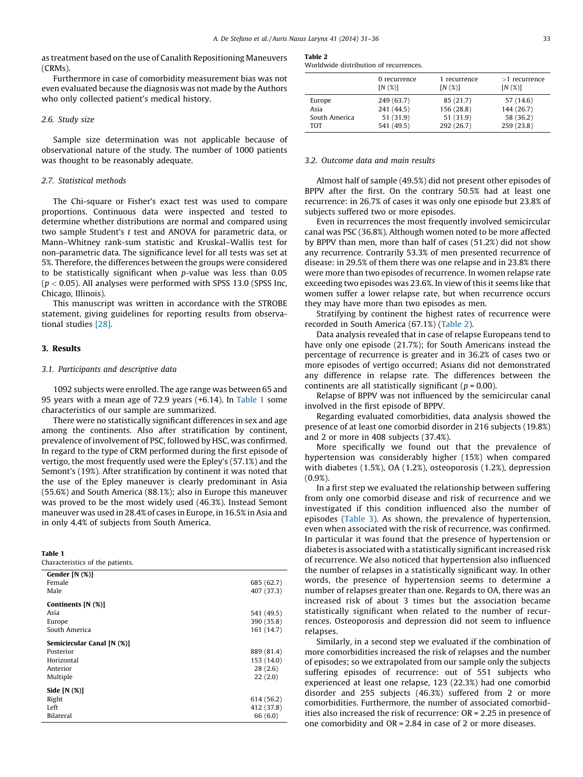<span id="page-2-0"></span>as treatment based on the use of Canalith Repositioning Maneuvers (CRMs).

Furthermore in case of comorbidity measurement bias was not even evaluated because the diagnosis was not made by the Authors who only collected patient's medical history.

## 2.6. Study size

Sample size determination was not applicable because of observational nature of the study. The number of 1000 patients was thought to be reasonably adequate.

#### 2.7. Statistical methods

The Chi-square or Fisher's exact test was used to compare proportions. Continuous data were inspected and tested to determine whether distributions are normal and compared using two sample Student's t test and ANOVA for parametric data, or Mann–Whitney rank-sum statistic and Kruskal–Wallis test for non-parametric data. The significance level for all tests was set at 5%. Therefore, the differences between the groups were considered to be statistically significant when p-value was less than 0.05  $(p < 0.05)$ . All analyses were performed with SPSS 13.0 (SPSS Inc, Chicago, Illinois).

This manuscript was written in accordance with the STROBE statement, giving guidelines for reporting results from observational studies [\[28\]](#page-5-0).

#### 3. Results

#### 3.1. Participants and descriptive data

1092 subjects were enrolled. The age range was between 65 and 95 years with a mean age of 72.9 years (+6.14). In Table 1 some characteristics of our sample are summarized.

There were no statistically significant differences in sex and age among the continents. Also after stratification by continent, prevalence of involvement of PSC, followed by HSC, was confirmed. In regard to the type of CRM performed during the first episode of vertigo, the most frequently used were the Epley's (57.1%) and the Semont's (19%). After stratification by continent it was noted that the use of the Epley maneuver is clearly predominant in Asia (55.6%) and South America (88.1%); also in Europe this maneuver was proved to be the most widely used (46.3%). Instead Semont maneuver was used in 28.4% of cases in Europe, in 16.5% in Asia and in only 4.4% of subjects from South America.

| Characteristics of the patients. |  |  |
|----------------------------------|--|--|
|----------------------------------|--|--|

| Gender [N (%)]             |            |
|----------------------------|------------|
| Female                     | 685 (62.7) |
| Male                       | 407 (37.3) |
| Continents [N (%)]         |            |
| Asia                       | 541 (49.5) |
| Europe                     | 390 (35.8) |
| South America              | 161 (14.7) |
| Semicircular Canal [N (%)] |            |
| Posterior                  | 889 (81.4) |
| Horizontal                 | 153 (14.0) |
| Anterior                   | 28(2.6)    |
| Multiple                   | 22(2.0)    |
| Side $[N (%)]$             |            |
| Right                      | 614 (56.2) |
| Left                       | 412 (37.8) |
| <b>Bilateral</b>           | 66 (6.0)   |

### Table 2

Worldwide distribution of recurrences.

|               | 0 recurrence<br>[N(X)] | 1 recurrence<br>[N(X)] | $>1$ recurrence<br>$[N(\mathcal{X})]$ |
|---------------|------------------------|------------------------|---------------------------------------|
| Europe        | 249 (63.7)             | 85 (21.7)              | 57 (14.6)                             |
| Asia          | 241 (44.5)             | 156 (28.8)             | 144 (26.7)                            |
| South America | 51(31.9)               | 51 (31.9)              | 58 (36.2)                             |
| <b>TOT</b>    | 541 (49.5)             | 292 (26.7)             | 259 (23.8)                            |

#### 3.2. Outcome data and main results

Almost half of sample (49.5%) did not present other episodes of BPPV after the first. On the contrary 50.5% had at least one recurrence: in 26.7% of cases it was only one episode but 23.8% of subjects suffered two or more episodes.

Even in recurrences the most frequently involved semicircular canal was PSC (36.8%). Although women noted to be more affected by BPPV than men, more than half of cases (51.2%) did not show any recurrence. Contrarily 53.3% of men presented recurrence of disease: in 29.5% of them there was one relapse and in 23.8% there were more than two episodes of recurrence. In women relapse rate exceeding two episodes was 23.6%. In view of this it seems like that women suffer a lower relapse rate, but when recurrence occurs they may have more than two episodes as men.

Stratifying by continent the highest rates of recurrence were recorded in South America (67.1%) (Table 2).

Data analysis revealed that in case of relapse Europeans tend to have only one episode (21.7%); for South Americans instead the percentage of recurrence is greater and in 36.2% of cases two or more episodes of vertigo occurred; Asians did not demonstrated any difference in relapse rate. The differences between the continents are all statistically significant ( $p = 0.00$ ).

Relapse of BPPV was not influenced by the semicircular canal involved in the first episode of BPPV.

Regarding evaluated comorbidities, data analysis showed the presence of at least one comorbid disorder in 216 subjects (19.8%) and 2 or more in 408 subjects (37.4%).

More specifically we found out that the prevalence of hypertension was considerably higher (15%) when compared with diabetes (1.5%), OA (1.2%), osteoporosis (1.2%), depression (0.9%).

In a first step we evaluated the relationship between suffering from only one comorbid disease and risk of recurrence and we investigated if this condition influenced also the number of episodes [\(Table](#page-3-0) 3). As shown, the prevalence of hypertension, even when associated with the risk of recurrence, was confirmed. In particular it was found that the presence of hypertension or diabetes is associated with a statistically significant increased risk of recurrence. We also noticed that hypertension also influenced the number of relapses in a statistically significant way. In other words, the presence of hypertension seems to determine a number of relapses greater than one. Regards to OA, there was an increased risk of about 3 times but the association became statistically significant when related to the number of recurrences. Osteoporosis and depression did not seem to influence relapses.

Similarly, in a second step we evaluated if the combination of more comorbidities increased the risk of relapses and the number of episodes; so we extrapolated from our sample only the subjects suffering episodes of recurrence: out of 551 subjects who experienced at least one relapse, 123 (22.3%) had one comorbid disorder and 255 subjects (46.3%) suffered from 2 or more comorbidities. Furthermore, the number of associated comorbidities also increased the risk of recurrence: OR = 2.25 in presence of one comorbidity and OR = 2.84 in case of 2 or more diseases.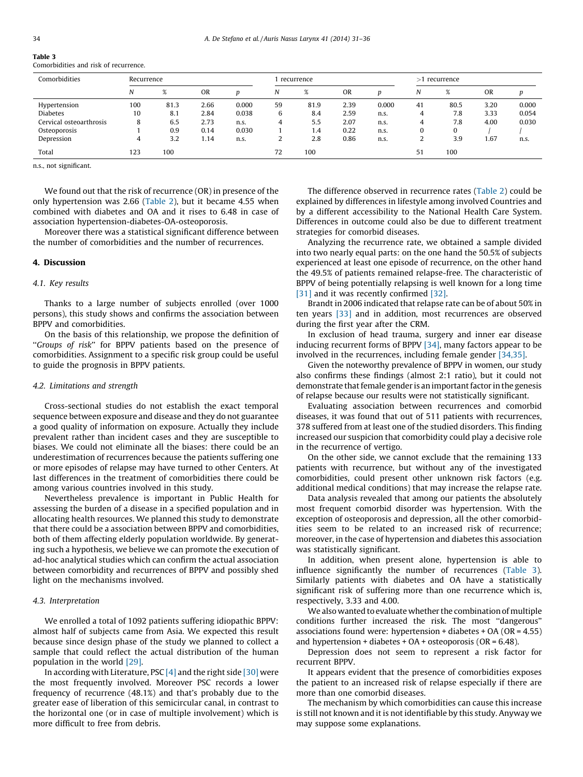<span id="page-3-0"></span>Table 3

| Comorbidities and risk of recurrence. |  |  |
|---------------------------------------|--|--|
|                                       |  |  |

| Comorbidities           | Recurrence |      |           | recurrence |    |      | $>1$ recurrence |       |    |            |           |       |
|-------------------------|------------|------|-----------|------------|----|------|-----------------|-------|----|------------|-----------|-------|
|                         | N          | %    | <b>OR</b> | n          | Ν  | %    | OR              |       | Ν  | $\sqrt{2}$ | <b>OR</b> | D     |
| Hypertension            | 100        | 81.3 | 2.66      | 0.000      | 59 | 81.9 | 2.39            | 0.000 | 41 | 80.5       | 3.20      | 0.000 |
| <b>Diabetes</b>         | 10         | 8.1  | 2.84      | 0.038      | 6  | 8.4  | 2.59            | n.s.  | 4  | 7.8        | 3.33      | 0.054 |
| Cervical osteoarthrosis | 8          | 6.5  | 2.73      | n.s.       | 4  | 5.5  | 2.07            | n.s.  | 4  | 7.8        | 4.00      | 0.030 |
| Osteoporosis            |            | 0.9  | 0.14      | 0.030      |    | 1.4  | 0.22            | n.s.  | 0  |            |           |       |
| Depression              | 4          | 3.2  | 1.14      | n.s.       | ∠  | 2.8  | 0.86            | n.s.  |    | 3.9        | 1.67      | n.s.  |
| Total                   | 123        | 100  |           |            | 72 | 100  |                 |       | 51 | 100        |           |       |

n.s., not significant.

We found out that the risk of recurrence (OR) in presence of the only hypertension was 2.66 ([Table](#page-2-0) 2), but it became 4.55 when combined with diabetes and OA and it rises to 6.48 in case of association hypertension-diabetes-OA-osteoporosis.

Moreover there was a statistical significant difference between the number of comorbidities and the number of recurrences.

#### 4. Discussion

## 4.1. Key results

Thanks to a large number of subjects enrolled (over 1000 persons), this study shows and confirms the association between BPPV and comorbidities.

On the basis of this relationship, we propose the definition of ''Groups of risk'' for BPPV patients based on the presence of comorbidities. Assignment to a specific risk group could be useful to guide the prognosis in BPPV patients.

#### 4.2. Limitations and strength

Cross-sectional studies do not establish the exact temporal sequence between exposure and disease and they do not guarantee a good quality of information on exposure. Actually they include prevalent rather than incident cases and they are susceptible to biases. We could not eliminate all the biases: there could be an underestimation of recurrences because the patients suffering one or more episodes of relapse may have turned to other Centers. At last differences in the treatment of comorbidities there could be among various countries involved in this study.

Nevertheless prevalence is important in Public Health for assessing the burden of a disease in a specified population and in allocating health resources. We planned this study to demonstrate that there could be a association between BPPV and comorbidities, both of them affecting elderly population worldwide. By generating such a hypothesis, we believe we can promote the execution of ad-hoc analytical studies which can confirm the actual association between comorbidity and recurrences of BPPV and possibly shed light on the mechanisms involved.

## 4.3. Interpretation

We enrolled a total of 1092 patients suffering idiopathic BPPV: almost half of subjects came from Asia. We expected this result because since design phase of the study we planned to collect a sample that could reflect the actual distribution of the human population in the world [\[29\]](#page-5-0).

In according with Literature, PSC  $[4]$  and the right side  $[30]$  were the most frequently involved. Moreover PSC records a lower frequency of recurrence (48.1%) and that's probably due to the greater ease of liberation of this semicircular canal, in contrast to the horizontal one (or in case of multiple involvement) which is more difficult to free from debris.

The difference observed in recurrence rates [\(Table](#page-2-0) 2) could be explained by differences in lifestyle among involved Countries and by a different accessibility to the National Health Care System. Differences in outcome could also be due to different treatment strategies for comorbid diseases.

Analyzing the recurrence rate, we obtained a sample divided into two nearly equal parts: on the one hand the 50.5% of subjects experienced at least one episode of recurrence, on the other hand the 49.5% of patients remained relapse-free. The characteristic of BPPV of being potentially relapsing is well known for a long time [\[31\]](#page-5-0) and it was recently confirmed [\[32\].](#page-5-0)

Brandt in 2006 indicated that relapse rate can be of about 50% in ten years [\[33\]](#page-5-0) and in addition, most recurrences are observed during the first year after the CRM.

In exclusion of head trauma, surgery and inner ear disease inducing recurrent forms of BPPV [\[34\]](#page-5-0), many factors appear to be involved in the recurrences, including female gender [\[34,35\].](#page-5-0)

Given the noteworthy prevalence of BPPV in women, our study also confirms these findings (almost 2:1 ratio), but it could not demonstrate that female gender is an important factor in the genesis of relapse because our results were not statistically significant.

Evaluating association between recurrences and comorbid diseases, it was found that out of 511 patients with recurrences, 378 suffered from at least one of the studied disorders. This finding increased our suspicion that comorbidity could play a decisive role in the recurrence of vertigo.

On the other side, we cannot exclude that the remaining 133 patients with recurrence, but without any of the investigated comorbidities, could present other unknown risk factors (e.g. additional medical conditions) that may increase the relapse rate.

Data analysis revealed that among our patients the absolutely most frequent comorbid disorder was hypertension. With the exception of osteoporosis and depression, all the other comorbidities seem to be related to an increased risk of recurrence; moreover, in the case of hypertension and diabetes this association was statistically significant.

In addition, when present alone, hypertension is able to influence significantly the number of recurrences (Table 3). Similarly patients with diabetes and OA have a statistically significant risk of suffering more than one recurrence which is, respectively, 3.33 and 4.00.

We also wanted to evaluate whether the combination of multiple conditions further increased the risk. The most ''dangerous'' associations found were: hypertension + diabetes +  $OA (OR = 4.55)$ and hypertension + diabetes +  $OA +$  osteoporosis ( $OR = 6.48$ ).

Depression does not seem to represent a risk factor for recurrent BPPV.

It appears evident that the presence of comorbidities exposes the patient to an increased risk of relapse especially if there are more than one comorbid diseases.

The mechanism by which comorbidities can cause this increase is still not known and it is not identifiable by this study. Anyway we may suppose some explanations.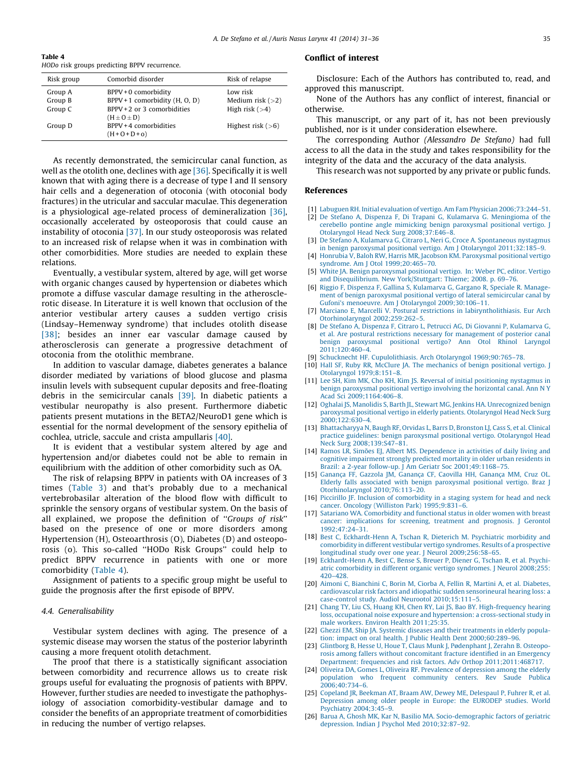<span id="page-4-0"></span>Table 4 HODo risk groups predicting BPPV recurrence.

|            | <i>HODO</i> H3R groups predicting bill a recurrence. |                     |
|------------|------------------------------------------------------|---------------------|
| Risk group | Comorbid disorder                                    | Risk of relapse     |
| Group A    | BPPV + 0 comorbidity                                 | Low risk            |
| Group B    | $BPPV + 1$ comorbidity (H, O, D)                     | Medium risk $(>2)$  |
| Group C    | $BPPV + 2$ or 3 comorbidities                        | High risk $(>4)$    |
|            | $(H \pm 0 \pm D)$                                    |                     |
| Group D    | $BPPV + 4$ comorbidities                             | Highest risk $(>6)$ |
|            | $(H + O + D + o)$                                    |                     |

As recently demonstrated, the semicircular canal function, as well as the otolith one, declines with age [\[36\]](#page-5-0). Specifically it is well known that with aging there is a decrease of type I and II sensory hair cells and a degeneration of otoconia (with otoconial body fractures) in the utricular and saccular maculae. This degeneration is a physiological age-related process of demineralization [\[36\],](#page-5-0) occasionally accelerated by osteoporosis that could cause an instability of otoconia [\[37\].](#page-5-0) In our study osteoporosis was related to an increased risk of relapse when it was in combination with other comorbidities. More studies are needed to explain these relations.

Eventually, a vestibular system, altered by age, will get worse with organic changes caused by hypertension or diabetes which promote a diffuse vascular damage resulting in the atherosclerotic disease. In Literature it is well known that occlusion of the anterior vestibular artery causes a sudden vertigo crisis (Lindsay–Hemenway syndrome) that includes otolith disease [\[38\];](#page-5-0) besides an inner ear vascular damage caused by atherosclerosis can generate a progressive detachment of otoconia from the otolithic membrane.

In addition to vascular damage, diabetes generates a balance disorder mediated by variations of blood glucose and plasma insulin levels with subsequent cupular deposits and free-floating debris in the semicircular canals [\[39\]](#page-5-0). In diabetic patients a vestibular neuropathy is also present. Furthermore diabetic patients present mutations in the BETA2/NeuroD1 gene which is essential for the normal development of the sensory epithelia of cochlea, utricle, saccule and crista ampullaris [\[40\].](#page-5-0)

It is evident that a vestibular system altered by age and hypertension and/or diabetes could not be able to remain in equilibrium with the addition of other comorbidity such as OA.

The risk of relapsing BPPV in patients with OA increases of 3 times ([Table](#page-3-0) 3) and that's probably due to a mechanical vertebrobasilar alteration of the blood flow with difficult to sprinkle the sensory organs of vestibular system. On the basis of all explained, we propose the definition of ''Groups of risk'' based on the presence of one or more disorders among Hypertension (H), Osteoarthrosis (O), Diabetes (D) and osteoporosis (o). This so-called ''HODo Risk Groups'' could help to predict BPPV recurrence in patients with one or more comorbidity (Table 4).

Assignment of patients to a specific group might be useful to guide the prognosis after the first episode of BPPV.

#### 4.4. Generalisability

Vestibular system declines with aging. The presence of a systemic disease may worsen the status of the posterior labyrinth causing a more frequent otolith detachment.

The proof that there is a statistically significant association between comorbidity and recurrence allows us to create risk groups useful for evaluating the prognosis of patients with BPPV. However, further studies are needed to investigate the pathophysiology of association comorbidity-vestibular damage and to consider the benefits of an appropriate treatment of comorbidities in reducing the number of vertigo relapses.

#### Conflict of interest

Disclosure: Each of the Authors has contributed to, read, and approved this manuscript.

None of the Authors has any conflict of interest, financial or otherwise.

This manuscript, or any part of it, has not been previously published, nor is it under consideration elsewhere.

The corresponding Author (Alessandro De Stefano) had full access to all the data in the study and takes responsibility for the integrity of the data and the accuracy of the data analysis.

This research was not supported by any private or public funds.

## References

- [1] Labuguen RH. Initial evaluation of vertigo. Am Fam Physician [2006;73:244–51.](http://refhub.elsevier.com/S0385-8146(13)00155-7/sbref0005)
- [2] De Stefano A, Dispenza F, Di Trapani G, Kulamarva G. [Meningioma](http://refhub.elsevier.com/S0385-8146(13)00155-7/sbref0010) of the cerebello pontine angle mimicking benign [paroxysmal](http://refhub.elsevier.com/S0385-8146(13)00155-7/sbref0010) positional vertigo. J Otolaryngol Head Neck Surg [2008;37:E46–8](http://refhub.elsevier.com/S0385-8146(13)00155-7/sbref0010).
- [3] De Stefano A, Kulamarva G, Citraro L, Neri G, Croce A. [Spontaneous](http://refhub.elsevier.com/S0385-8146(13)00155-7/sbref0015) nystagmus in benign paroxysmal positional vertigo. Am J Otolaryngol [2011;32:185–9](http://refhub.elsevier.com/S0385-8146(13)00155-7/sbref0015).
- [4] Honrubia V, Baloh RW, Harris MR, Jacobson KM. [Paroxysmal](http://refhub.elsevier.com/S0385-8146(13)00155-7/sbref0020) positional vertigo syndrome. Am J Otol [1999;20:465–70](http://refhub.elsevier.com/S0385-8146(13)00155-7/sbref0020).
- [5] White JA. Benign [paroxysmal](http://refhub.elsevier.com/S0385-8146(13)00155-7/sbref0025) positional vertigo. In: Weber PC, editor. Vertigo and [Disequilibrium.](http://refhub.elsevier.com/S0385-8146(13)00155-7/sbref0025) New York/Stuttgart: Thieme; 2008. p. [69–76.](http://refhub.elsevier.com/S0385-8146(13)00155-7/sbref0025)
- [6] Riggio F, Dispenza F, Gallina S, [Kulamarva](http://refhub.elsevier.com/S0385-8146(13)00155-7/sbref0030) G, Gargano R, Speciale R. Management of benign paroxysmal positional vertigo of lateral [semicircular](http://refhub.elsevier.com/S0385-8146(13)00155-7/sbref0030) canal by Gufoni's menoeuvre. Am J Otolaryngol [2009;30:106–11.](http://refhub.elsevier.com/S0385-8146(13)00155-7/sbref0030)
- [7] Marciano E, Marcelli V. Postural restrictions in [labiryntholithiasis.](http://refhub.elsevier.com/S0385-8146(13)00155-7/sbref0035) Eur Arch [Otorhinolaryngol](http://refhub.elsevier.com/S0385-8146(13)00155-7/sbref0035) 2002;259:262–5.
- [8] De Stefano A, Dispenza F, Citraro L, Petrucci AG, Di Giovanni P, [Kulamarva](http://refhub.elsevier.com/S0385-8146(13)00155-7/sbref0040) G, et al. Are postural restrictions necessary for [management](http://refhub.elsevier.com/S0385-8146(13)00155-7/sbref0040) of posterior canal benign [paroxysmal](http://refhub.elsevier.com/S0385-8146(13)00155-7/sbref0040) positional vertigo? Ann Otol Rhinol Laryngol [2011;120:460–4.](http://refhub.elsevier.com/S0385-8146(13)00155-7/sbref0040)
- [9] Schucknecht HF. Cupulolithiasis. Arch Otolaryngol [1969;90:765–78.](http://refhub.elsevier.com/S0385-8146(13)00155-7/sbref0045)
- [10] Hall SF, Ruby RR, McClure JA. The [mechanics](http://refhub.elsevier.com/S0385-8146(13)00155-7/sbref0050) of benign positional vertigo. J Otolaryngol [1979;8:151–8.](http://refhub.elsevier.com/S0385-8146(13)00155-7/sbref0050) [11] Lee SH, Kim MK, Cho KH, Kim JS. Reversal of initial [positioning](http://refhub.elsevier.com/S0385-8146(13)00155-7/sbref0055) nystagmus in
- benign [paroxysmal](http://refhub.elsevier.com/S0385-8146(13)00155-7/sbref0055) positional vertigo involving the horizontal canal. Ann N Y Acad Sci [2009;1164:406–8](http://refhub.elsevier.com/S0385-8146(13)00155-7/sbref0055).
- [12] Oghalai JS, Manolidis S, Barth JL, Stewart MG, Jenkins HA. [Unrecognized](http://refhub.elsevier.com/S0385-8146(13)00155-7/sbref0060) benign paroxysmal positional vertigo in elderly patients. [Otolaryngol](http://refhub.elsevier.com/S0385-8146(13)00155-7/sbref0060) Head Neck Surg [2000;122:630–4](http://refhub.elsevier.com/S0385-8146(13)00155-7/sbref0060).
- [13] [Bhattacharyya](http://refhub.elsevier.com/S0385-8146(13)00155-7/sbref0065) N, Baugh RF, Orvidas L, Barrs D, Bronston LJ, Cass S, et al. Clinical practice guidelines: benign paroxysmal positional vertigo. [Otolaryngol](http://refhub.elsevier.com/S0385-8146(13)00155-7/sbref0065) Head Neck Surg [2008;139:S47–81](http://refhub.elsevier.com/S0385-8146(13)00155-7/sbref0065).
- [14] Ramos LR, Simões EJ, Albert MS. [Dependence](http://refhub.elsevier.com/S0385-8146(13)00155-7/sbref0070) in activities of daily living and cognitive [impairment](http://refhub.elsevier.com/S0385-8146(13)00155-7/sbref0070) strongly predicted mortality in older urban residents in Brazil: a 2-year follow-up. J Am Geriatr Soc [2001;49:1168–75.](http://refhub.elsevier.com/S0385-8146(13)00155-7/sbref0070)
- [15] [Gananc](http://refhub.elsevier.com/S0385-8146(13)00155-7/sbref0075)a FF, [Gazzola](http://refhub.elsevier.com/S0385-8146(13)00155-7/sbref0075) JM, Gananca CF, [Caovilla](http://refhub.elsevier.com/S0385-8146(13)00155-7/sbref0075) HH, Gananca MM, [Cruz](http://refhub.elsevier.com/S0385-8146(13)00155-7/sbref0075) OL. Elderly falls associated with benign [paroxysmal](http://refhub.elsevier.com/S0385-8146(13)00155-7/sbref0075) positional vertigo. Braz J [Otorhinolaryngol](http://refhub.elsevier.com/S0385-8146(13)00155-7/sbref0075) 2010;76:113–20.
- [16] Piccirillo JF. Inclusion of [comorbidity](http://refhub.elsevier.com/S0385-8146(13)00155-7/sbref0080) in a staging system for head and neck cancer. Oncology (Williston Park) [1995;9:831–6](http://refhub.elsevier.com/S0385-8146(13)00155-7/sbref0080).
- [17] Satariano WA. [Comorbidity](http://refhub.elsevier.com/S0385-8146(13)00155-7/sbref0085) and functional status in older women with breast cancer: [implications](http://refhub.elsevier.com/S0385-8146(13)00155-7/sbref0085) for screening, treatment and prognosis. J Gerontol [1992;47:24–31.](http://refhub.elsevier.com/S0385-8146(13)00155-7/sbref0085)
- [18] Best C, [Eckhardt-Henn](http://refhub.elsevier.com/S0385-8146(13)00155-7/sbref0090) A, Tschan R, Dieterich M. Psychiatric morbidity and [comorbidity](http://refhub.elsevier.com/S0385-8146(13)00155-7/sbref0090) in different vestibular vertigo syndromes. Results of a prospective longitudinal study over one year. J Neurol [2009;256:58–65](http://refhub.elsevier.com/S0385-8146(13)00155-7/sbref0090).
- [19] [Eckhardt-Henn](http://refhub.elsevier.com/S0385-8146(13)00155-7/sbref0095) A, Best C, Bense S, Breuer P, Diener G, Tschan R, et al. Psychiatric [comorbidity](http://refhub.elsevier.com/S0385-8146(13)00155-7/sbref0095) in different organic vertigo syndromes. J Neurol 2008;255: [420–428](http://refhub.elsevier.com/S0385-8146(13)00155-7/sbref0095).
- [20] Aimoni C, [Bianchini](http://refhub.elsevier.com/S0385-8146(13)00155-7/sbref0100) C, Borin M, Ciorba A, Fellin R, Martini A, et al. Diabetes, [cardiovascular](http://refhub.elsevier.com/S0385-8146(13)00155-7/sbref0100) risk factors and idiopathic sudden sensorineural hearing loss: a case-control study. Audiol Neurootol [2010;15:111–5](http://refhub.elsevier.com/S0385-8146(13)00155-7/sbref0100).
- [21] Chang TY, Liu CS, Huang KH, Chen RY, Lai JS, Bao BY. [High-frequency](http://refhub.elsevier.com/S0385-8146(13)00155-7/sbref0105) hearing loss, occupational noise exposure and hypertension: a [cross-sectional](http://refhub.elsevier.com/S0385-8146(13)00155-7/sbref0105) study in male workers. Environ Health [2011;25:35](http://refhub.elsevier.com/S0385-8146(13)00155-7/sbref0105).
- [22] Ghezzi EM, Ship JA. Systemic diseases and their [treatments](http://refhub.elsevier.com/S0385-8146(13)00155-7/sbref0110) in elderly population: impact on oral health. J Public Health Dent [2000;60:289–96](http://refhub.elsevier.com/S0385-8146(13)00155-7/sbref0110).
- [23] Glintborg B, Hesse U, Houe T, Claus Munk J, [Pødenphant](http://refhub.elsevier.com/S0385-8146(13)00155-7/sbref0115) J, Zerahn B. Osteoporosis among fallers without [concomitant](http://refhub.elsevier.com/S0385-8146(13)00155-7/sbref0115) fracture identified in an Emergency Department: frequencies and risk factors. Adv Orthop [2011;2011:468717.](http://refhub.elsevier.com/S0385-8146(13)00155-7/sbref0115)
- [24] Oliveira DA, Gomes L, Oliveira RF. Prevalence of [depression](http://refhub.elsevier.com/S0385-8146(13)00155-7/sbref0120) among the elderly population who frequent [community](http://refhub.elsevier.com/S0385-8146(13)00155-7/sbref0120) centers. Rev Saude Publica [2006;40:734–6](http://refhub.elsevier.com/S0385-8146(13)00155-7/sbref0120).
- [25] Copeland JR, Beekman AT, Braam AW, Dewey ME, [Delespaul](http://refhub.elsevier.com/S0385-8146(13)00155-7/sbref0125) P, Fuhrer R, et al. [Depression](http://refhub.elsevier.com/S0385-8146(13)00155-7/sbref0125) among older people in Europe: the EURODEP studies. World Psychiatry [2004;3:45–9.](http://refhub.elsevier.com/S0385-8146(13)00155-7/sbref0125)
- [26] Barua A, Ghosh MK, Kar N, Basilio MA. [Socio-demographic](http://refhub.elsevier.com/S0385-8146(13)00155-7/sbref0130) factors of geriatric depression. Indian J Psychol Med [2010;32:87–92.](http://refhub.elsevier.com/S0385-8146(13)00155-7/sbref0130)